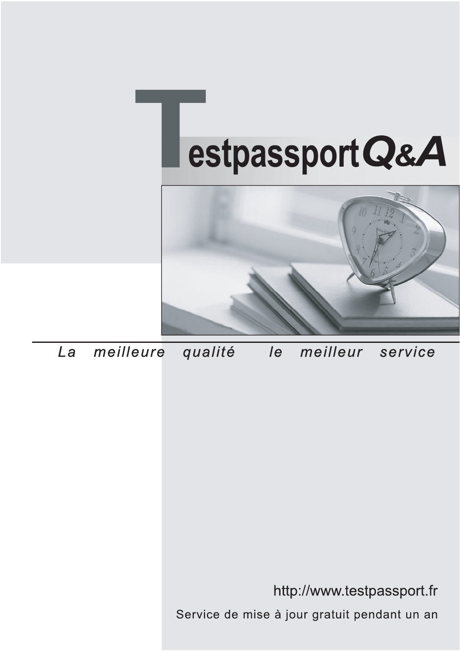



meilleure La qualité  $\overline{e}$ meilleur service

http://www.testpassport.fr

Service de mise à jour gratuit pendant un an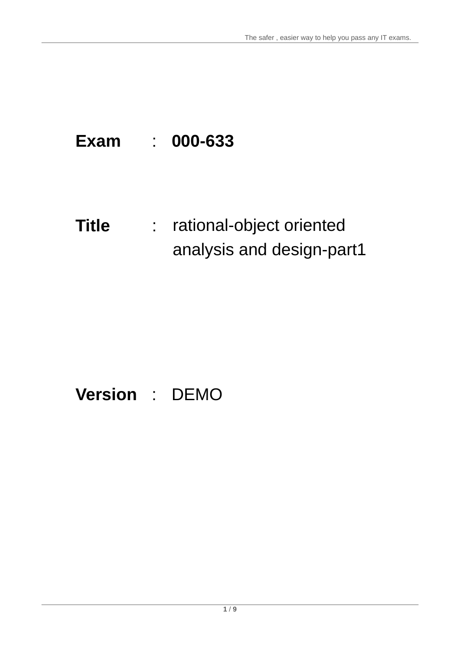## **Exam** : **000-633**

# **Title** : rational-object oriented analysis and design-part1

## **Version** : DEMO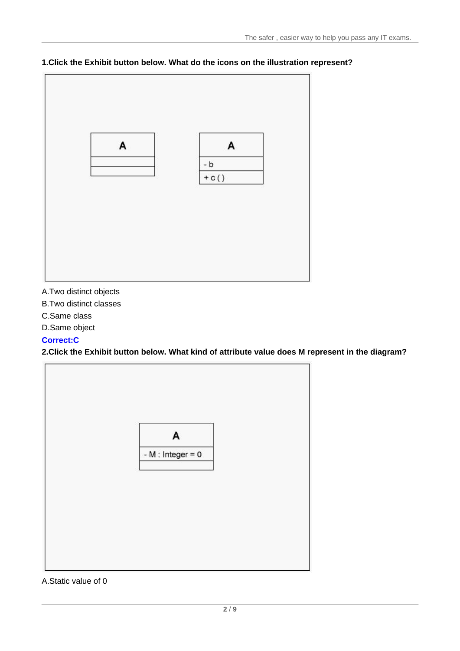

#### **1.Click the Exhibit button below. What do the icons on the illustration represent?**

A.Two distinct objects

- B.Two distinct classes
- C.Same class
- D.Same object

#### **Correct:C**

**2.Click the Exhibit button below. What kind of attribute value does M represent in the diagram?**



#### A.Static value of 0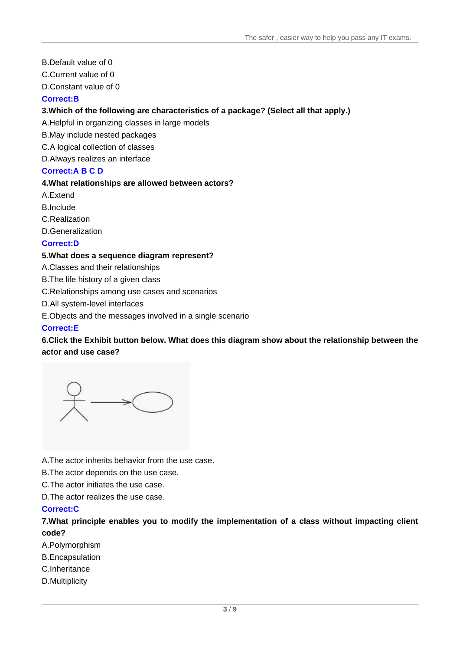- B.Default value of 0
- C.Current value of 0

D.Constant value of 0

#### **Correct:B**

#### **3.Which of the following are characteristics of a package? (Select all that apply.)**

A.Helpful in organizing classes in large models

B.May include nested packages

C.A logical collection of classes

D.Always realizes an interface

#### **Correct:A B C D**

#### **4.What relationships are allowed between actors?**

A.Extend

B.Include **B.Include B.Include B.Include B.Include B.Include B.Include B.Include** 

C.Realization

D.Generalization

#### **Correct:D**

#### **5.What does a sequence diagram represent?**

A.Classes and their relationships

B.The life history of a given class

C.Relationships among use cases and scenarios

D.All system-level interfaces

E.Objects and the messages involved in a single scenario

#### **Correct:E**

**6.Click the Exhibit button below. What does this diagram show about the relationship between the actor and use case?**

A.The actor inherits behavior from the use case.

B.The actor depends on the use case.

C.The actor initiates the use case.

D.The actor realizes the use case.

#### **Correct:C**

**7.What principle enables you to modify the implementation of a class without impacting client code?**

A.Polymorphism

- B.Encapsulation
- C.Inheritance
- D.Multiplicity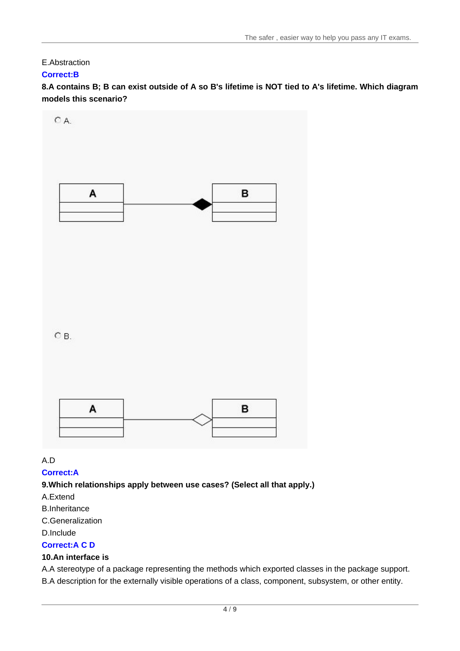## E.Abstraction

#### **Correct:B**

8.A contains B; B can exist outside of A so B's lifetime is NOT tied to A's lifetime. Which diagram **models this scenario?**



A.D

#### **Correct:A**

#### **9.Which relationships apply between use cases? (Select all that apply.)**

- A.Extend
- B.Inheritance
- C.Generalization
- D.Include

#### **Correct:A C D**

#### **10.An interface is**

A.A stereotype of a package representing the methods which exported classes in the package support. B.A description for the externally visible operations of a class, component, subsystem, or other entity.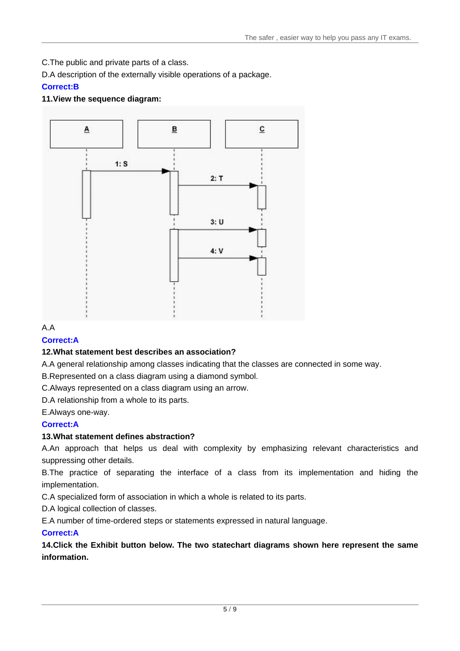C.The public and private parts of a class.

D.A description of the externally visible operations of a package.

## **Correct:B**

## **11.View the sequence diagram:**



## A.A

#### **Correct:A**

## **12.What statement best describes an association?**

A.A general relationship among classes indicating that the classes are connected in some way.

B.Represented on a class diagram using a diamond symbol.

C.Always represented on a class diagram using an arrow.

D.A relationship from a whole to its parts.

E.Always one-way.

## **Correct:A**

## **13.What statement defines abstraction?**

A.An approach that helps us deal with complexity by emphasizing relevant characteristics and suppressing other details.

B.The practice of separating the interface of a class from its implementation and hiding the implementation.

C.A specialized form of association in which a whole is related to its parts.

D.A logical collection of classes.

E.A number of time-ordered steps or statements expressed in natural language.

## **Correct:A**

**14.Click the Exhibit button below. The two statechart diagrams shown here represent the same information.**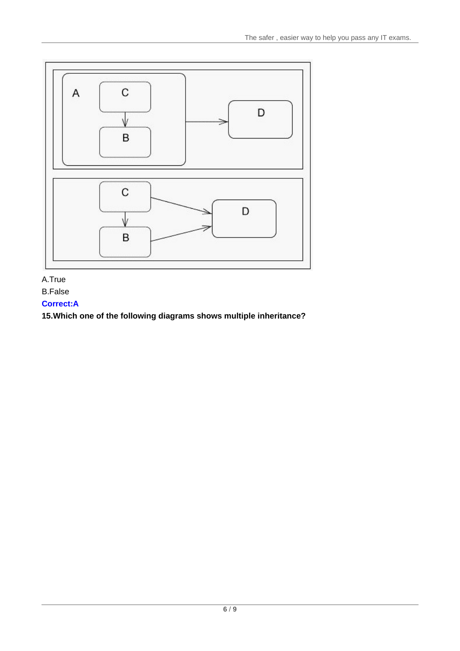

## A.True

B.False

## **Correct:A**

**15.Which one of the following diagrams shows multiple inheritance?**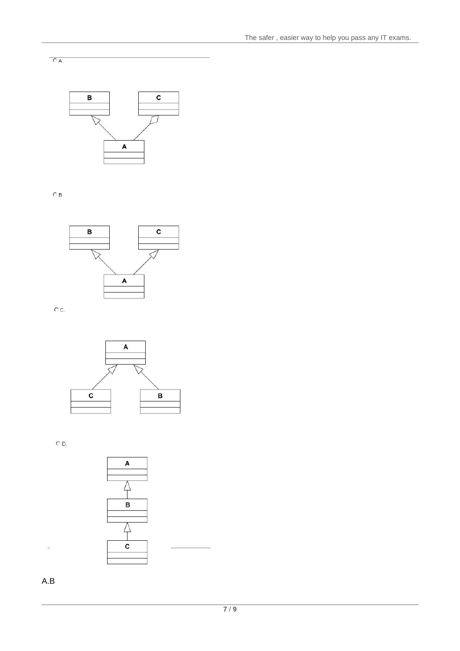

 $\overline{O}$  B.

 $CA$ 



oc.



 $O$  D.



A.B

L.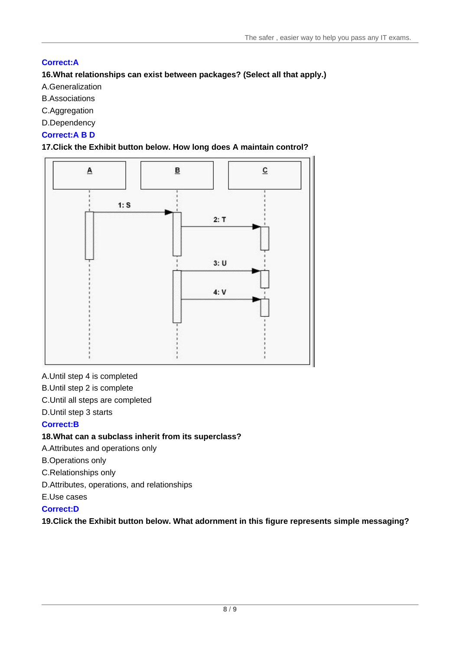## **Correct:A**

## **16.What relationships can exist between packages? (Select all that apply.)**

A.Generalization

- B.Associations
- C.Aggregation
- D.Dependency

## **Correct:A B D**

#### **17.Click the Exhibit button below. How long does A maintain control?**



A.Until step 4 is completed

B.Until step 2 is complete

C.Until all steps are completed

D.Until step 3 starts

## **Correct:B**

## **18.What can a subclass inherit from its superclass?**

A.Attributes and operations only

B.Operations only

C.Relationships only

D.Attributes, operations, and relationships

E.Use cases

## **Correct:D**

**19.Click the Exhibit button below. What adornment in this figure represents simple messaging?**